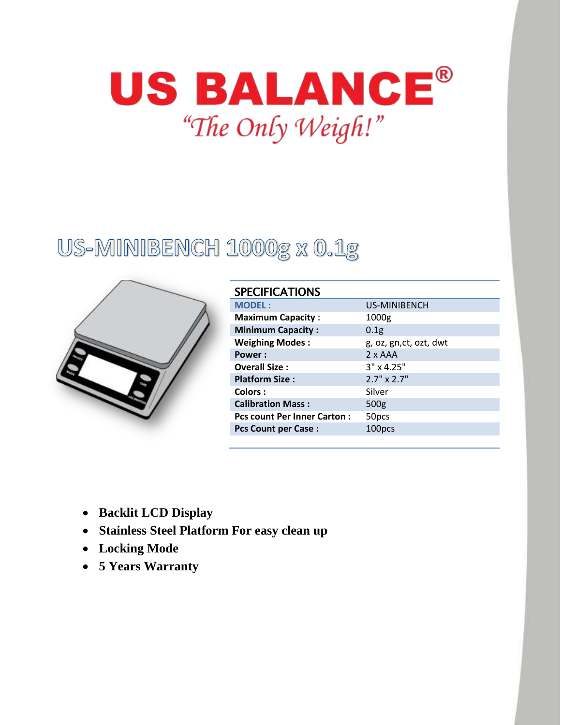

# US-MINIBENCH 1000g x 0.1g



| <b>SPECIFICATIONS</b>              |                        |
|------------------------------------|------------------------|
| <b>MODEL:</b>                      | US-MINIBENCH           |
| <b>Maximum Capacity:</b>           | 1000g                  |
| <b>Minimum Capacity:</b>           | 0.1 <sub>g</sub>       |
| <b>Weighing Modes:</b>             | g, oz, gn,ct, ozt, dwt |
| Power:                             | $2 \times AAA$         |
| <b>Overall Size:</b>               | $3" \times 4.25"$      |
| <b>Platform Size:</b>              | $2.7" \times 2.7"$     |
| <b>Colors:</b>                     | Silver                 |
| <b>Calibration Mass:</b>           | 500 <sub>g</sub>       |
| <b>Pcs count Per Inner Carton:</b> | 50 <sub>pcs</sub>      |
| <b>Pcs Count per Case:</b>         | 100pcs                 |

- **Backlit LCD Display**
- **Stainless Steel Platform For easy clean up**
- **Locking Mode**
- **5 Years Warranty**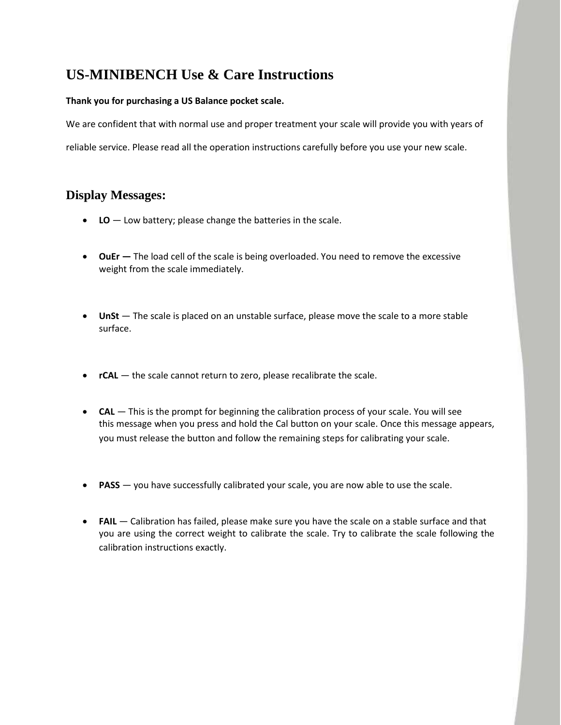# **US-MINIBENCH Use & Care Instructions**

#### **Thank you for purchasing a US Balance pocket scale.**

We are confident that with normal use and proper treatment your scale will provide you with years of reliable service. Please read all the operation instructions carefully before you use your new scale.

## **Display Messages:**

- **LO** Low battery; please change the batteries in the scale.
- **OuEr** The load cell of the scale is being overloaded. You need to remove the excessive weight from the scale immediately.
- UnSt The scale is placed on an unstable surface, please move the scale to a more stable surface.
- **•** rCAL the scale cannot return to zero, please recalibrate the scale.
- **CAL** This is the prompt for beginning the calibration process of your scale. You will see this message when you press and hold the Cal button on your scale. Once this message appears, you must release the button and follow the remaining steps for calibrating your scale.
- **PASS** you have successfully calibrated your scale, you are now able to use the scale.
- **FAIL**  Calibration has failed, please make sure you have the scale on a stable surface and that you are using the correct weight to calibrate the scale. Try to calibrate the scale following the calibration instructions exactly.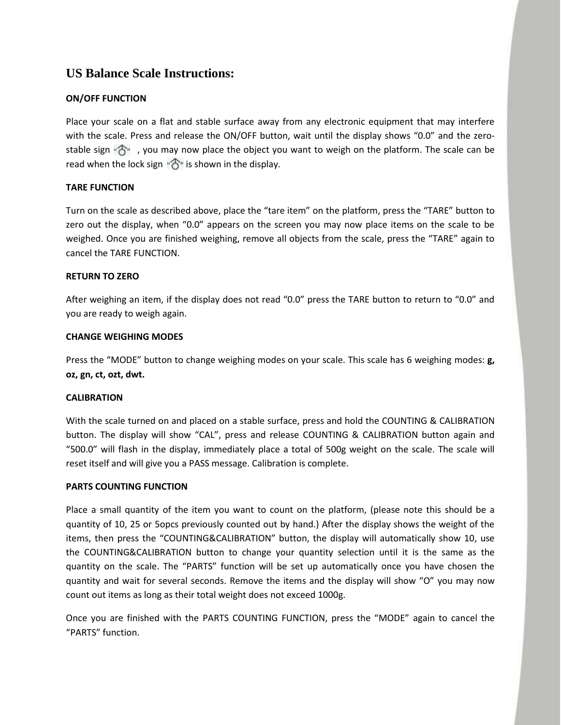### **US Balance Scale Instructions:**

#### **ON/OFF FUNCTION**

Place your scale on a flat and stable surface away from any electronic equipment that may interfere with the scale. Press and release the ON/OFF button, wait until the display shows "0.0" and the zerostable sign  $\mathcal{F}_1$ , you may now place the object you want to weigh on the platform. The scale can be read when the lock sign  $\mathbb{R}^n$  is shown in the display.

#### **TARE FUNCTION**

Turn on the scale as described above, place the "tare item" on the platform, press the "TARE" button to zero out the display, when "0.0" appears on the screen you may now place items on the scale to be weighed. Once you are finished weighing, remove all objects from the scale, press the "TARE" again to cancel the TARE FUNCTION.

#### **RETURN TO ZERO**

After weighing an item, if the display does not read "0.0" press the TARE button to return to "0.0" and you are ready to weigh again.

#### **CHANGE WEIGHING MODES**

Press the "MODE" button to change weighing modes on your scale. This scale has 6 weighing modes: **g, oz, gn, ct, ozt, dwt.**

#### **CALIBRATION**

With the scale turned on and placed on a stable surface, press and hold the COUNTING & CALIBRATION button. The display will show "CAL", press and release COUNTING & CALIBRATION button again and "500.0" will flash in the display, immediately place a total of 500g weight on the scale. The scale will reset itself and will give you a PASS message. Calibration is complete.

#### **PARTS COUNTING FUNCTION**

Place a small quantity of the item you want to count on the platform, (please note this should be a quantity of 10, 25 or 5opcs previously counted out by hand.) After the display shows the weight of the items, then press the "COUNTING&CALIBRATION" button, the display will automatically show 10, use the COUNTING&CALIBRATION button to change your quantity selection until it is the same as the quantity on the scale. The "PARTS" function will be set up automatically once you have chosen the quantity and wait for several seconds. Remove the items and the display will show "O" you may now count out items as long as their total weight does not exceed 1000g.

Once you are finished with the PARTS COUNTING FUNCTION, press the "MODE" again to cancel the "PARTS" function.